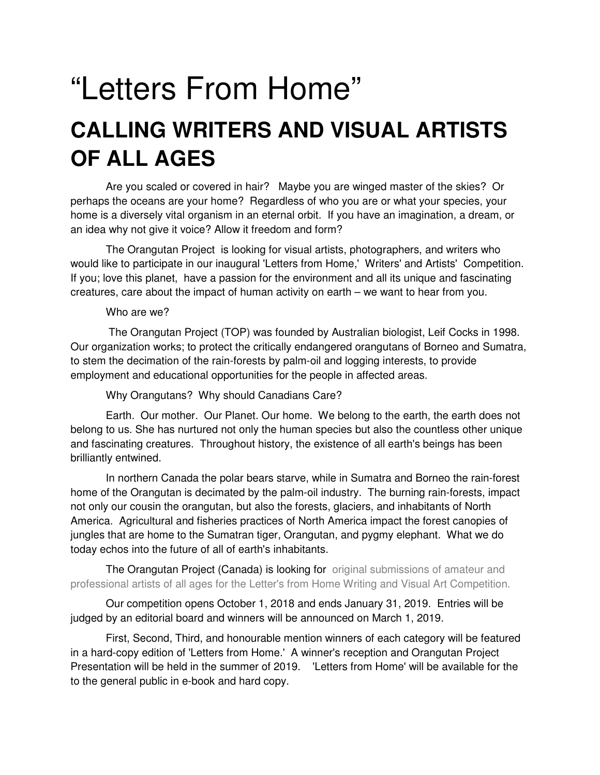# "Letters From Home" **CALLING WRITERS AND VISUAL ARTISTS OF ALL AGES**

 Are you scaled or covered in hair? Maybe you are winged master of the skies? Or perhaps the oceans are your home? Regardless of who you are or what your species, your home is a diversely vital organism in an eternal orbit. If you have an imagination, a dream, or an idea why not give it voice? Allow it freedom and form?

 The Orangutan Project is looking for visual artists, photographers, and writers who would like to participate in our inaugural 'Letters from Home,' Writers' and Artists' Competition. If you; love this planet, have a passion for the environment and all its unique and fascinating creatures, care about the impact of human activity on earth – we want to hear from you.

#### Who are we?

 The Orangutan Project (TOP) was founded by Australian biologist, Leif Cocks in 1998. Our organization works; to protect the critically endangered orangutans of Borneo and Sumatra, to stem the decimation of the rain-forests by palm-oil and logging interests, to provide employment and educational opportunities for the people in affected areas.

Why Orangutans? Why should Canadians Care?

 Earth. Our mother. Our Planet. Our home. We belong to the earth, the earth does not belong to us. She has nurtured not only the human species but also the countless other unique and fascinating creatures. Throughout history, the existence of all earth's beings has been brilliantly entwined.

 In northern Canada the polar bears starve, while in Sumatra and Borneo the rain-forest home of the Orangutan is decimated by the palm-oil industry. The burning rain-forests, impact not only our cousin the orangutan, but also the forests, glaciers, and inhabitants of North America. Agricultural and fisheries practices of North America impact the forest canopies of jungles that are home to the Sumatran tiger, Orangutan, and pygmy elephant. What we do today echos into the future of all of earth's inhabitants.

 The Orangutan Project (Canada) is looking for original submissions of amateur and professional artists of all ages for the Letter's from Home Writing and Visual Art Competition.

 Our competition opens October 1, 2018 and ends January 31, 2019. Entries will be judged by an editorial board and winners will be announced on March 1, 2019.

 First, Second, Third, and honourable mention winners of each category will be featured in a hard-copy edition of 'Letters from Home.' A winner's reception and Orangutan Project Presentation will be held in the summer of 2019. 'Letters from Home' will be available for the to the general public in e-book and hard copy.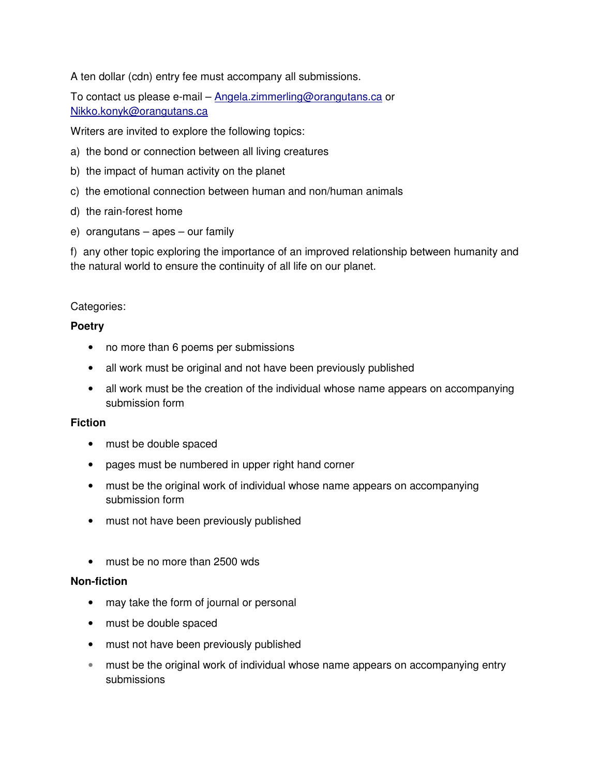A ten dollar (cdn) entry fee must accompany all submissions.

To contact us please e-mail – Angela.zimmerling@orangutans.ca or Nikko.konyk@orangutans.ca

Writers are invited to explore the following topics:

- a) the bond or connection between all living creatures
- b) the impact of human activity on the planet
- c) the emotional connection between human and non/human animals
- d) the rain-forest home
- e) orangutans apes our family

f) any other topic exploring the importance of an improved relationship between humanity and the natural world to ensure the continuity of all life on our planet.

#### Categories:

#### **Poetry**

- no more than 6 poems per submissions
- all work must be original and not have been previously published
- all work must be the creation of the individual whose name appears on accompanying submission form

#### **Fiction**

- must be double spaced
- pages must be numbered in upper right hand corner
- must be the original work of individual whose name appears on accompanying submission form
- must not have been previously published
- must be no more than 2500 wds

#### **Non-fiction**

- may take the form of journal or personal
- must be double spaced
- must not have been previously published
- must be the original work of individual whose name appears on accompanying entry submissions